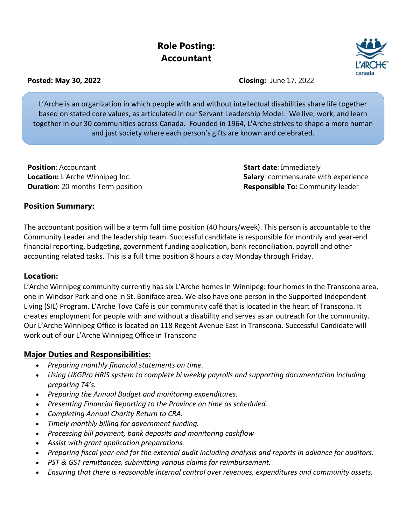# **Role Posting: Accountant**



**Posted: May 30, 2022 Closing:** June 17, 2022

L'Arche is an organization in which people with and without intellectual disabilities share life together based on stated core values, as articulated in our Servant Leadership Model. We live, work, and learn together in our 30 communities across Canada. Founded in 1964, L'Arche strives to shape a more human and just society where each person's gifts are known and celebrated.

**Position**: Accountant **Start date**: Immediately

**Location:** L'Arche Winnipeg Inc. **Salary: Comment Archives Salary: comment Experience** in the experience **Duration**: 20 months Term position **Responsible To: Community leader** 

# **Position Summary:**

The accountant position will be a term full time position (40 hours/week). This person is accountable to the Community Leader and the leadership team. Successful candidate is responsible for monthly and year-end financial reporting, budgeting, government funding application, bank reconciliation, payroll and other accounting related tasks. This is a full time position 8 hours a day Monday through Friday.

#### **Location:**

L'Arche Winnipeg community currently has six L'Arche homes in Winnipeg: four homes in the Transcona area, one in Windsor Park and one in St. Boniface area. We also have one person in the Supported Independent Living (SIL) Program. L'Arche Tova Café is our community café that is located in the heart of Transcona. It creates employment for people with and without a disability and serves as an outreach for the community. Our L'Arche Winnipeg Office is located on 118 Regent Avenue East in Transcona. Successful Candidate will work out of our L'Arche Winnipeg Office in Transcona

# **Major Duties and Responsibilities:**

- *Preparing monthly financial statements on time.*
- *Using UKGPro HRIS system to complete bi weekly payrolls and supporting documentation including preparing T4's.*
- *Preparing the Annual Budget and monitoring expenditures.*
- *Presenting Financial Reporting to the Province on time as scheduled.*
- *Completing Annual Charity Return to CRA.*
- *Timely monthly billing for government funding.*
- *Processing bill payment, bank deposits and monitoring cashflow*
- *Assist with grant application preparations.*
- *Preparing fiscal year-end for the external audit including analysis and reports in advance for auditors.*
- *PST & GST remittances, submitting various claims for reimbursement.*
- *Ensuring that there is reasonable internal control over revenues, expenditures and community assets.*